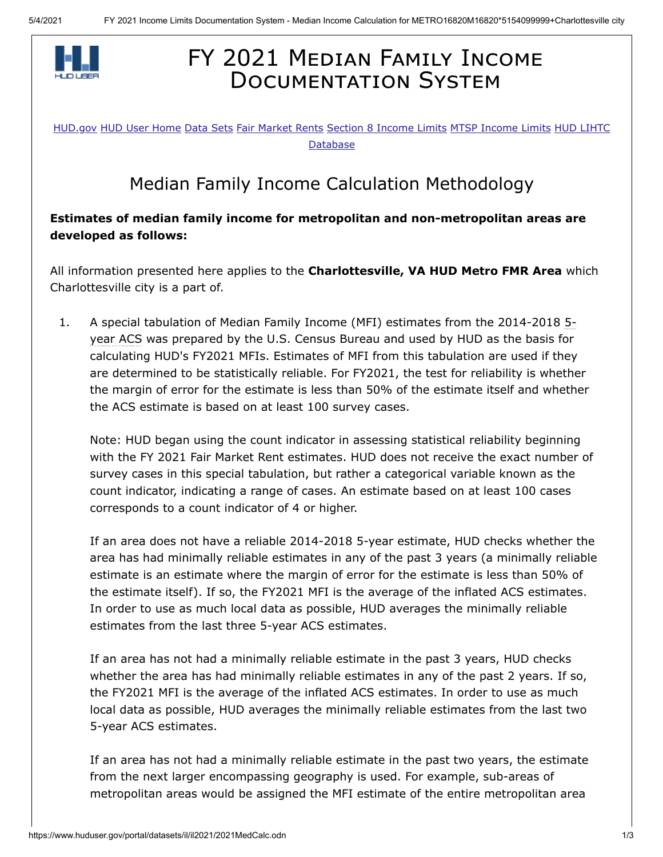

## FY 2021 MEDIAN FAMILY INCOME **DOCUMENTATION SYSTEM**

[HUD.gov](https://www.hud.gov/) [HUD User Home](https://www.huduser.gov/portal/index.html) [Data Sets](https://www.huduser.gov/portal/datasets/pdrdatas.html) [Fair Market Rents](https://www.huduser.gov/portal/datasets/fmr.html) [S](https://www.huduser.gov/portal/datasets/lihtc.html)[ection 8 Income Limits](https://www.huduser.gov/portal/datasets/il.html) [MTSP Income Limits](https://www.huduser.gov/portal/datasets/mtsp.html) HUD LIHTC Database

## Median Family Income Calculation Methodology

## **Estimates of median family income for metropolitan and non-metropolitan areas are developed as follows:**

All information presented here applies to the **Charlottesville, VA HUD Metro FMR Area** which Charlottesville city is a part of.

1. A special tabulation of Median Family Income (MFI) estimates from the 2014-2018 5 year ACS was prepared by the U.S. Census Bureau and used by HUD as the basis for calculating HUD's FY2021 MFIs. Estimates of MFI from this tabulation are used if they are determined to be statistically reliable. For FY2021, the test for reliability is whether the margin of error for the estimate is less than 50% of the estimate itself and whether the ACS estimate is based on at least 100 survey cases.

Note: HUD began using the count indicator in assessing statistical reliability beginning with the FY 2021 Fair Market Rent estimates. HUD does not receive the exact number of survey cases in this special tabulation, but rather a categorical variable known as the count indicator, indicating a range of cases. An estimate based on at least 100 cases corresponds to a count indicator of 4 or higher.

If an area does not have a reliable 2014-2018 5-year estimate, HUD checks whether the area has had minimally reliable estimates in any of the past 3 years (a minimally reliable estimate is an estimate where the margin of error for the estimate is less than 50% of the estimate itself). If so, the FY2021 MFI is the average of the inflated ACS estimates. In order to use as much local data as possible, HUD averages the minimally reliable estimates from the last three 5-year ACS estimates.

If an area has not had a minimally reliable estimate in the past 3 years, HUD checks whether the area has had minimally reliable estimates in any of the past 2 years. If so, the FY2021 MFI is the average of the inflated ACS estimates. In order to use as much local data as possible, HUD averages the minimally reliable estimates from the last two 5-year ACS estimates.

If an area has not had a minimally reliable estimate in the past two years, the estimate from the next larger encompassing geography is used. For example, sub-areas of metropolitan areas would be assigned the MFI estimate of the entire metropolitan area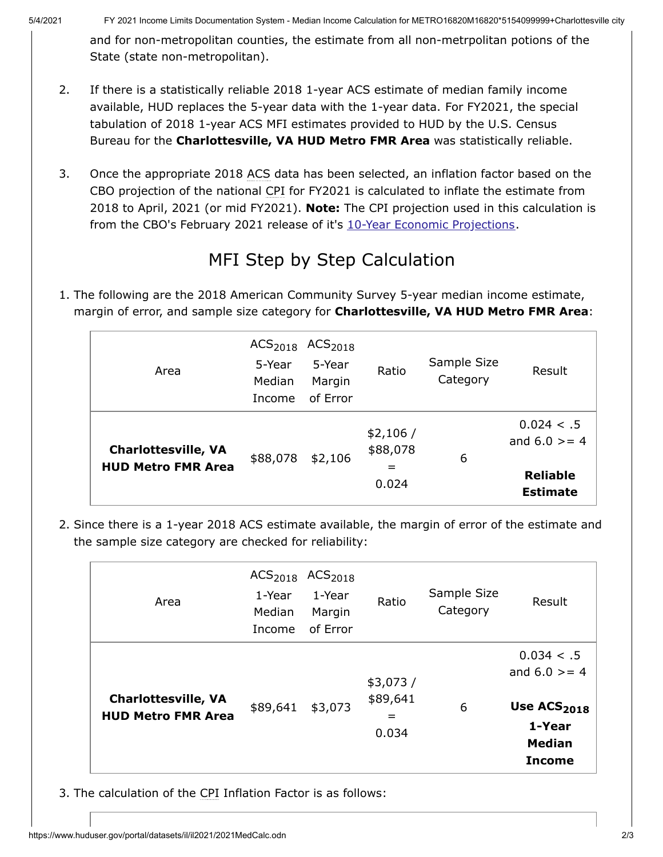and for non-metropolitan counties, the estimate from all non-metrpolitan potions of the State (state non-metropolitan).

- 2. If there is a statistically reliable 2018 1-year ACS estimate of median family income available, HUD replaces the 5-year data with the 1-year data. For FY2021, the special tabulation of 2018 1-year ACS MFI estimates provided to HUD by the U.S. Census Bureau for the **Charlottesville, VA HUD Metro FMR Area** was statistically reliable.
- 3. Once the appropriate 2018 ACS data has been selected, an inflation factor based on the CBO projection of the national CPI for FY2021 is calculated to inflate the estimate from 2018 to April, 2021 (or mid FY2021). **Note:** The CPI projection used in this calculation is from the CBO's February 2021 release of it's [10-Year Economic Projections](https://www.cbo.gov/about/products/budget-economic-data#4).

## MFI Step by Step Calculation

1. The following are the 2018 American Community Survey 5-year median income estimate, margin of error, and sample size category for **Charlottesville, VA HUD Metro FMR Area**:

| Area                                                    | $ACS2018$ $ACS2018$<br>5-Year<br>Median<br>Income | 5-Year<br>Margin<br>of Error | Ratio                                | Sample Size<br>Category | Result                                                              |
|---------------------------------------------------------|---------------------------------------------------|------------------------------|--------------------------------------|-------------------------|---------------------------------------------------------------------|
| <b>Charlottesville, VA</b><br><b>HUD Metro FMR Area</b> | \$88,078                                          | \$2,106                      | \$2,106/<br>\$88,078<br>$=$<br>0.024 | 6                       | 0.024 < .5<br>and $6.0$ > = 4<br><b>Reliable</b><br><b>Estimate</b> |

2. Since there is a 1-year 2018 ACS estimate available, the margin of error of the estimate and the sample size category are checked for reliability:

| Area                                                    | ACS <sub>2018</sub><br>1-Year<br>Median<br>Income | ACS <sub>2018</sub><br>1-Year<br>Margin<br>of Error | Ratio                                | Sample Size<br>Category | Result                                                                                               |
|---------------------------------------------------------|---------------------------------------------------|-----------------------------------------------------|--------------------------------------|-------------------------|------------------------------------------------------------------------------------------------------|
| <b>Charlottesville, VA</b><br><b>HUD Metro FMR Area</b> | \$89,641                                          | \$3,073                                             | \$3,073/<br>\$89,641<br>$=$<br>0.034 | 6                       | 0.034 < .5<br>and $6.0$ > = 4<br>Use ACS <sub>2018</sub><br>1-Year<br><b>Median</b><br><b>Income</b> |

3. The calculation of the CPI Inflation Factor is as follows: